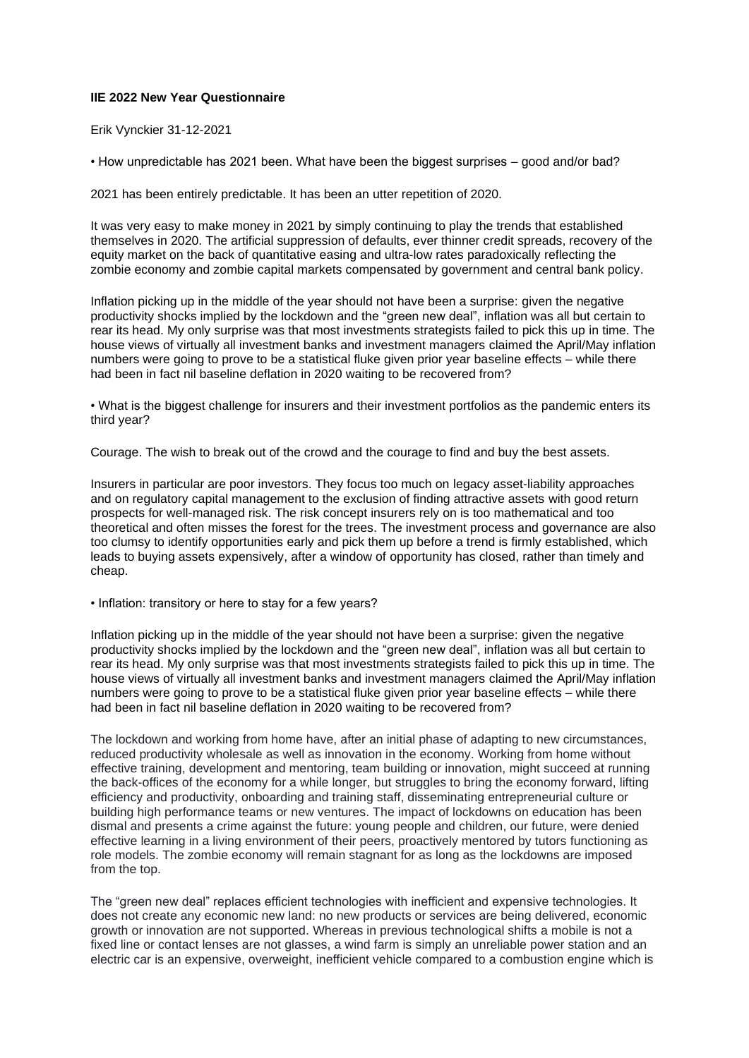## **IIE 2022 New Year Questionnaire**

Erik Vynckier 31-12-2021

• How unpredictable has 2021 been. What have been the biggest surprises – good and/or bad?

2021 has been entirely predictable. It has been an utter repetition of 2020.

It was very easy to make money in 2021 by simply continuing to play the trends that established themselves in 2020. The artificial suppression of defaults, ever thinner credit spreads, recovery of the equity market on the back of quantitative easing and ultra-low rates paradoxically reflecting the zombie economy and zombie capital markets compensated by government and central bank policy.

Inflation picking up in the middle of the year should not have been a surprise: given the negative productivity shocks implied by the lockdown and the "green new deal", inflation was all but certain to rear its head. My only surprise was that most investments strategists failed to pick this up in time. The house views of virtually all investment banks and investment managers claimed the April/May inflation numbers were going to prove to be a statistical fluke given prior year baseline effects – while there had been in fact nil baseline deflation in 2020 waiting to be recovered from?

• What is the biggest challenge for insurers and their investment portfolios as the pandemic enters its third year?

Courage. The wish to break out of the crowd and the courage to find and buy the best assets.

Insurers in particular are poor investors. They focus too much on legacy asset-liability approaches and on regulatory capital management to the exclusion of finding attractive assets with good return prospects for well-managed risk. The risk concept insurers rely on is too mathematical and too theoretical and often misses the forest for the trees. The investment process and governance are also too clumsy to identify opportunities early and pick them up before a trend is firmly established, which leads to buying assets expensively, after a window of opportunity has closed, rather than timely and cheap.

• Inflation: transitory or here to stay for a few years?

Inflation picking up in the middle of the year should not have been a surprise: given the negative productivity shocks implied by the lockdown and the "green new deal", inflation was all but certain to rear its head. My only surprise was that most investments strategists failed to pick this up in time. The house views of virtually all investment banks and investment managers claimed the April/May inflation numbers were going to prove to be a statistical fluke given prior year baseline effects – while there had been in fact nil baseline deflation in 2020 waiting to be recovered from?

The lockdown and working from home have, after an initial phase of adapting to new circumstances, reduced productivity wholesale as well as innovation in the economy. Working from home without effective training, development and mentoring, team building or innovation, might succeed at running the back-offices of the economy for a while longer, but struggles to bring the economy forward, lifting efficiency and productivity, onboarding and training staff, disseminating entrepreneurial culture or building high performance teams or new ventures. The impact of lockdowns on education has been dismal and presents a crime against the future: young people and children, our future, were denied effective learning in a living environment of their peers, proactively mentored by tutors functioning as role models. The zombie economy will remain stagnant for as long as the lockdowns are imposed from the top.

The "green new deal" replaces efficient technologies with inefficient and expensive technologies. It does not create any economic new land: no new products or services are being delivered, economic growth or innovation are not supported. Whereas in previous technological shifts a mobile is not a fixed line or contact lenses are not glasses, a wind farm is simply an unreliable power station and an electric car is an expensive, overweight, inefficient vehicle compared to a combustion engine which is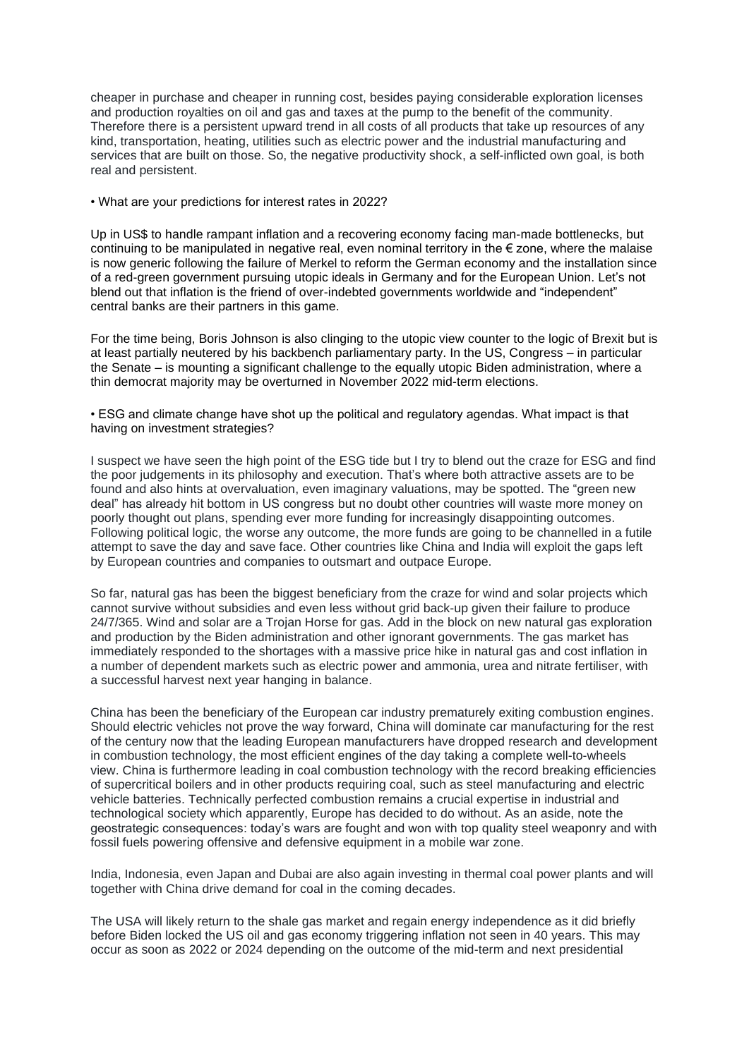cheaper in purchase and cheaper in running cost, besides paying considerable exploration licenses and production royalties on oil and gas and taxes at the pump to the benefit of the community. Therefore there is a persistent upward trend in all costs of all products that take up resources of any kind, transportation, heating, utilities such as electric power and the industrial manufacturing and services that are built on those. So, the negative productivity shock, a self-inflicted own goal, is both real and persistent.

• What are your predictions for interest rates in 2022?

Up in US\$ to handle rampant inflation and a recovering economy facing man-made bottlenecks, but continuing to be manipulated in negative real, even nominal territory in the  $\epsilon$  zone, where the malaise is now generic following the failure of Merkel to reform the German economy and the installation since of a red-green government pursuing utopic ideals in Germany and for the European Union. Let's not blend out that inflation is the friend of over-indebted governments worldwide and "independent" central banks are their partners in this game.

For the time being, Boris Johnson is also clinging to the utopic view counter to the logic of Brexit but is at least partially neutered by his backbench parliamentary party. In the US, Congress – in particular the Senate – is mounting a significant challenge to the equally utopic Biden administration, where a thin democrat majority may be overturned in November 2022 mid-term elections.

• ESG and climate change have shot up the political and regulatory agendas. What impact is that having on investment strategies?

I suspect we have seen the high point of the ESG tide but I try to blend out the craze for ESG and find the poor judgements in its philosophy and execution. That's where both attractive assets are to be found and also hints at overvaluation, even imaginary valuations, may be spotted. The "green new deal" has already hit bottom in US congress but no doubt other countries will waste more money on poorly thought out plans, spending ever more funding for increasingly disappointing outcomes. Following political logic, the worse any outcome, the more funds are going to be channelled in a futile attempt to save the day and save face. Other countries like China and India will exploit the gaps left by European countries and companies to outsmart and outpace Europe.

So far, natural gas has been the biggest beneficiary from the craze for wind and solar projects which cannot survive without subsidies and even less without grid back-up given their failure to produce 24/7/365. Wind and solar are a Trojan Horse for gas. Add in the block on new natural gas exploration and production by the Biden administration and other ignorant governments. The gas market has immediately responded to the shortages with a massive price hike in natural gas and cost inflation in a number of dependent markets such as electric power and ammonia, urea and nitrate fertiliser, with a successful harvest next year hanging in balance.

China has been the beneficiary of the European car industry prematurely exiting combustion engines. Should electric vehicles not prove the way forward, China will dominate car manufacturing for the rest of the century now that the leading European manufacturers have dropped research and development in combustion technology, the most efficient engines of the day taking a complete well-to-wheels view. China is furthermore leading in coal combustion technology with the record breaking efficiencies of supercritical boilers and in other products requiring coal, such as steel manufacturing and electric vehicle batteries. Technically perfected combustion remains a crucial expertise in industrial and technological society which apparently, Europe has decided to do without. As an aside, note the geostrategic consequences: today's wars are fought and won with top quality steel weaponry and with fossil fuels powering offensive and defensive equipment in a mobile war zone.

India, Indonesia, even Japan and Dubai are also again investing in thermal coal power plants and will together with China drive demand for coal in the coming decades.

The USA will likely return to the shale gas market and regain energy independence as it did briefly before Biden locked the US oil and gas economy triggering inflation not seen in 40 years. This may occur as soon as 2022 or 2024 depending on the outcome of the mid-term and next presidential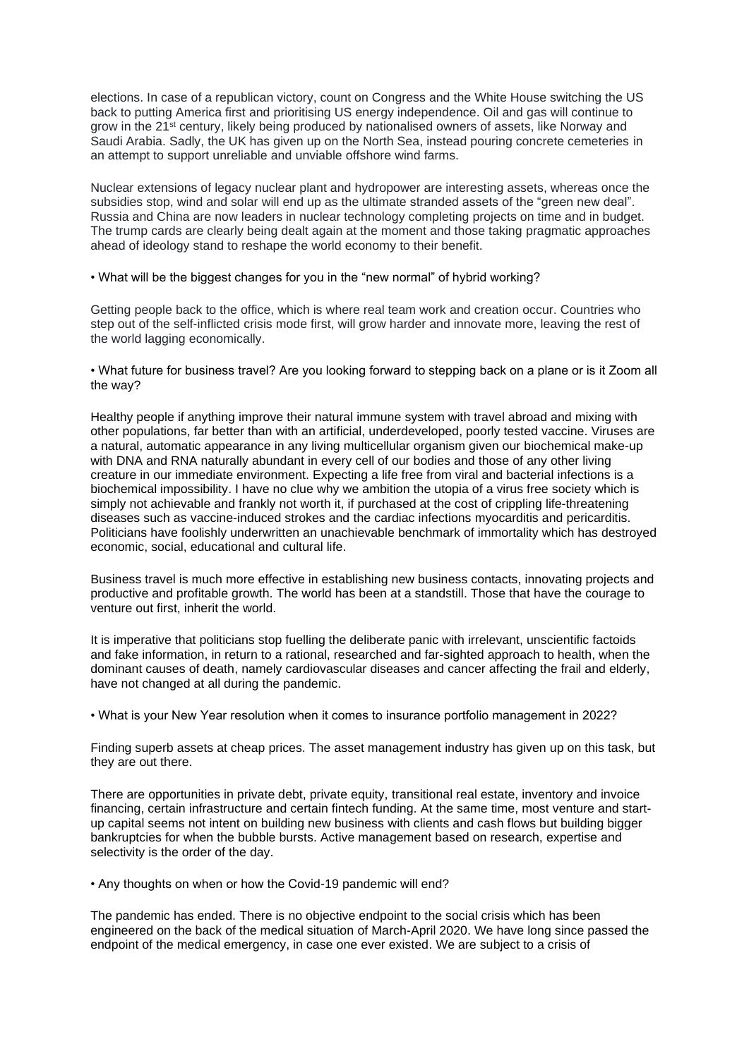elections. In case of a republican victory, count on Congress and the White House switching the US back to putting America first and prioritising US energy independence. Oil and gas will continue to grow in the 21st century, likely being produced by nationalised owners of assets, like Norway and Saudi Arabia. Sadly, the UK has given up on the North Sea, instead pouring concrete cemeteries in an attempt to support unreliable and unviable offshore wind farms.

Nuclear extensions of legacy nuclear plant and hydropower are interesting assets, whereas once the subsidies stop, wind and solar will end up as the ultimate stranded assets of the "green new deal". Russia and China are now leaders in nuclear technology completing projects on time and in budget. The trump cards are clearly being dealt again at the moment and those taking pragmatic approaches ahead of ideology stand to reshape the world economy to their benefit.

• What will be the biggest changes for you in the "new normal" of hybrid working?

Getting people back to the office, which is where real team work and creation occur. Countries who step out of the self-inflicted crisis mode first, will grow harder and innovate more, leaving the rest of the world lagging economically.

• What future for business travel? Are you looking forward to stepping back on a plane or is it Zoom all the way?

Healthy people if anything improve their natural immune system with travel abroad and mixing with other populations, far better than with an artificial, underdeveloped, poorly tested vaccine. Viruses are a natural, automatic appearance in any living multicellular organism given our biochemical make-up with DNA and RNA naturally abundant in every cell of our bodies and those of any other living creature in our immediate environment. Expecting a life free from viral and bacterial infections is a biochemical impossibility. I have no clue why we ambition the utopia of a virus free society which is simply not achievable and frankly not worth it, if purchased at the cost of crippling life-threatening diseases such as vaccine-induced strokes and the cardiac infections myocarditis and pericarditis. Politicians have foolishly underwritten an unachievable benchmark of immortality which has destroyed economic, social, educational and cultural life.

Business travel is much more effective in establishing new business contacts, innovating projects and productive and profitable growth. The world has been at a standstill. Those that have the courage to venture out first, inherit the world.

It is imperative that politicians stop fuelling the deliberate panic with irrelevant, unscientific factoids and fake information, in return to a rational, researched and far-sighted approach to health, when the dominant causes of death, namely cardiovascular diseases and cancer affecting the frail and elderly, have not changed at all during the pandemic.

• What is your New Year resolution when it comes to insurance portfolio management in 2022?

Finding superb assets at cheap prices. The asset management industry has given up on this task, but they are out there.

There are opportunities in private debt, private equity, transitional real estate, inventory and invoice financing, certain infrastructure and certain fintech funding. At the same time, most venture and startup capital seems not intent on building new business with clients and cash flows but building bigger bankruptcies for when the bubble bursts. Active management based on research, expertise and selectivity is the order of the day.

• Any thoughts on when or how the Covid-19 pandemic will end?

The pandemic has ended. There is no objective endpoint to the social crisis which has been engineered on the back of the medical situation of March-April 2020. We have long since passed the endpoint of the medical emergency, in case one ever existed. We are subject to a crisis of